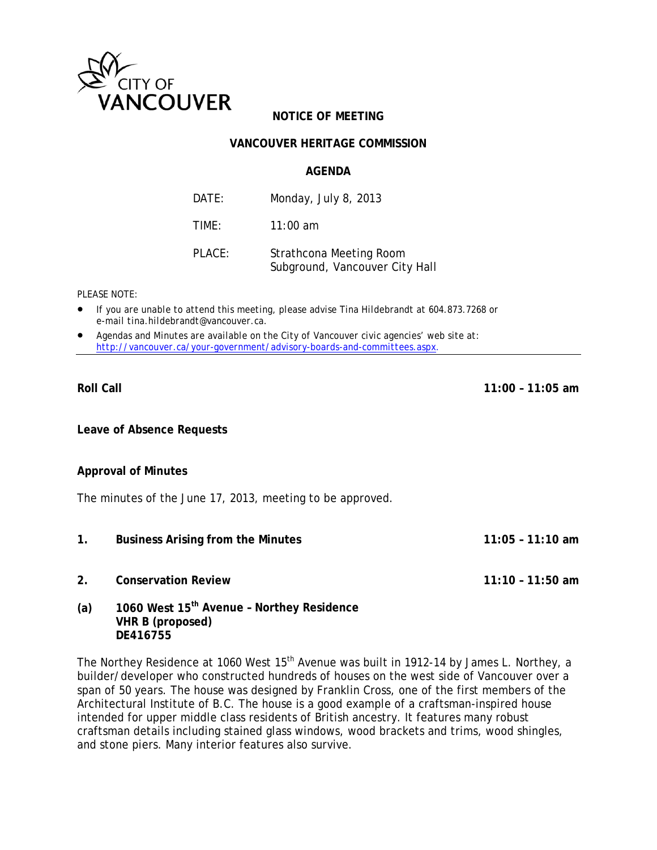

# **NOTICE OF MEETING**

### **VANCOUVER HERITAGE COMMISSION**

#### **AGENDA**

| DATE:  | Monday, July 8, 2013                                      |
|--------|-----------------------------------------------------------|
| TIME:  | $11:00$ am                                                |
| PLACE: | Strathcona Meeting Room<br>Subground, Vancouver City Hall |

#### *PLEASE NOTE:*

- *If you are unable to attend this meeting, please advise Tina Hildebrandt at 604.873.7268 or e-mail tina.hildebrandt@vancouver.ca*.
- *Agendas and Minutes are available on the City of Vancouver civic agencies' web site at: http://vancouver.ca/your-government/advisory-boards-and-committees.aspx*.

#### **Roll Call 11:00 – 11:05 am**

**Leave of Absence Requests** 

#### **Approval of Minutes**

The minutes of the June 17, 2013, meeting to be approved.

- **1. Business Arising from the Minutes 11:05 11:10 am**
- **2. Conservation Review 11:10 11:50 am**
- 

**(a) 1060 West 15th Avenue – Northey Residence VHR B (proposed) DE416755**

The Northey Residence at 1060 West 15<sup>th</sup> Avenue was built in 1912-14 by James L. Northey, a builder/developer who constructed hundreds of houses on the west side of Vancouver over a span of 50 years. The house was designed by Franklin Cross, one of the first members of the Architectural Institute of B.C. The house is a good example of a craftsman-inspired house intended for upper middle class residents of British ancestry. It features many robust craftsman details including stained glass windows, wood brackets and trims, wood shingles, and stone piers. Many interior features also survive.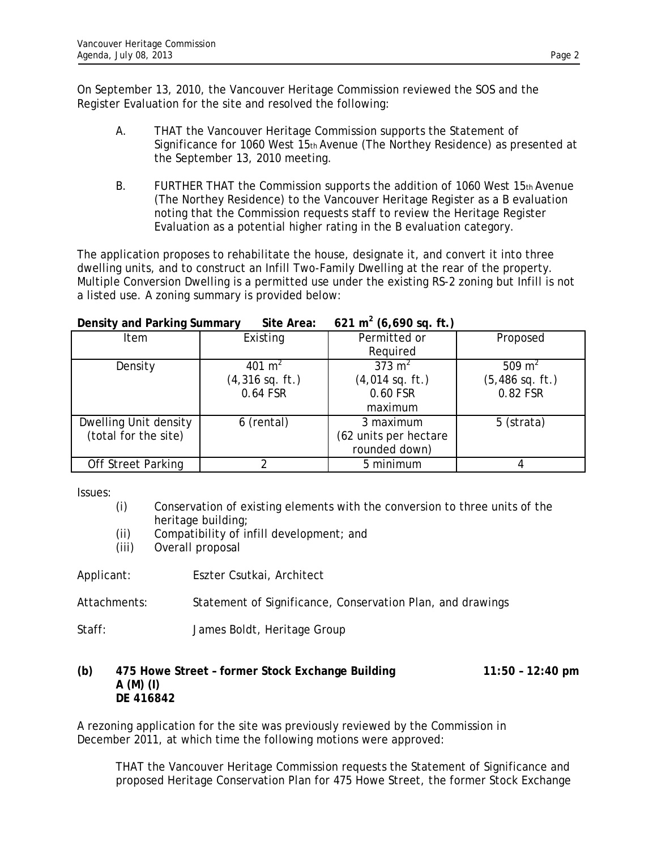On September 13, 2010, the Vancouver Heritage Commission reviewed the SOS and the Register Evaluation for the site and resolved the following:

- A. THAT the Vancouver Heritage Commission supports the Statement of Significance for 1060 West 15th Avenue (The Northey Residence) as presented at the September 13, 2010 meeting.
- B. FURTHER THAT the Commission supports the addition of 1060 West  $15<sub>th</sub>$  Avenue (The Northey Residence) to the Vancouver Heritage Register as a B evaluation noting that the Commission requests staff to review the Heritage Register Evaluation as a potential higher rating in the B evaluation category.

The application proposes to rehabilitate the house, designate it, and convert it into three dwelling units, and to construct an Infill Two-Family Dwelling at the rear of the property. Multiple Conversion Dwelling is a permitted use under the existing RS-2 zoning but Infill is not a listed use. A zoning summary is provided below:

| Density and Parking Summary | Site Area:         | $621 \text{ m}^{\circ}$ (6,690 sq. ft.) |                    |
|-----------------------------|--------------------|-----------------------------------------|--------------------|
| Item                        | Existing           | Permitted or                            | Proposed           |
|                             |                    | Required                                |                    |
| Density                     | 401 m <sup>2</sup> | 373 $m2$                                | 509 m <sup>2</sup> |
|                             | $(4,316$ sq. ft.)  | $(4,014$ sq. ft.)                       | $(5,486$ sq. ft.)  |
|                             | 0.64 FSR           | 0.60 FSR                                | 0.82 FSR           |
|                             |                    | maximum                                 |                    |
| Dwelling Unit density       | 6 (rental)         | 3 maximum                               | 5 (strata)         |
| (total for the site)        |                    | (62 units per hectare                   |                    |
|                             |                    | rounded down)                           |                    |
| <b>Off Street Parking</b>   |                    | 5 minimum                               |                    |

**Density and Parking Summary Site Area: 621 m<sup>2</sup> (6,690 sq. ft.)** 

Issues:

- (i) Conservation of existing elements with the conversion to three units of the heritage building;
- (ii) Compatibility of infill development; and
- (iii) Overall proposal
- Applicant: Eszter Csutkai, Architect
- Attachments: Statement of Significance, Conservation Plan, and drawings
- Staff: James Boldt, Heritage Group

#### **(b) 475 Howe Street – former Stock Exchange Building 11:50 – 12:40 pm A (M) (I) DE 416842**

A rezoning application for the site was previously reviewed by the Commission in December 2011, at which time the following motions were approved:

THAT the Vancouver Heritage Commission requests the Statement of Significance and proposed Heritage Conservation Plan for 475 Howe Street, the former Stock Exchange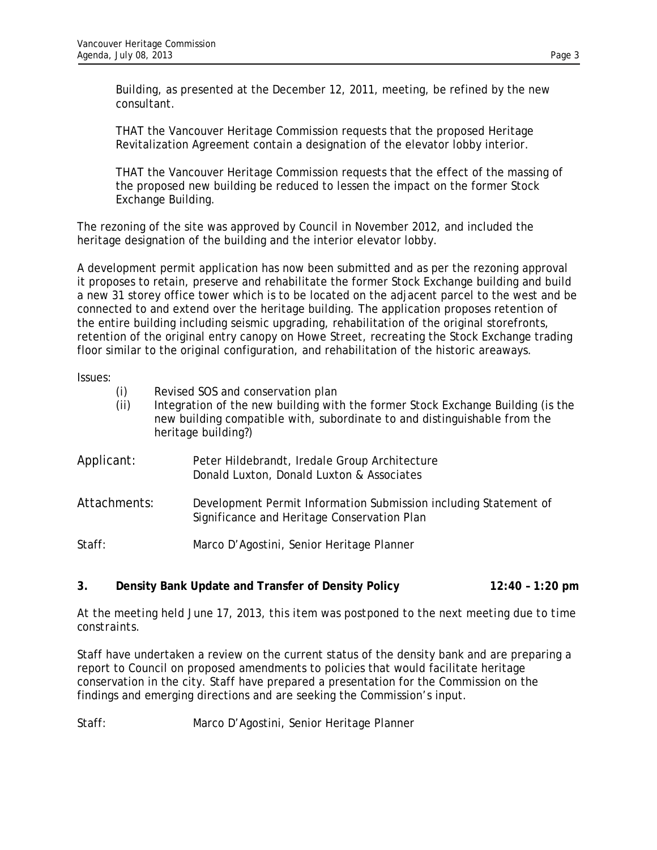Building, as presented at the December 12, 2011, meeting, be refined by the new consultant.

THAT the Vancouver Heritage Commission requests that the proposed Heritage Revitalization Agreement contain a designation of the elevator lobby interior.

THAT the Vancouver Heritage Commission requests that the effect of the massing of the proposed new building be reduced to lessen the impact on the former Stock Exchange Building.

The rezoning of the site was approved by Council in November 2012, and included the heritage designation of the building and the interior elevator lobby.

A development permit application has now been submitted and as per the rezoning approval it proposes to retain, preserve and rehabilitate the former Stock Exchange building and build a new 31 storey office tower which is to be located on the adjacent parcel to the west and be connected to and extend over the heritage building. The application proposes retention of the entire building including seismic upgrading, rehabilitation of the original storefronts, retention of the original entry canopy on Howe Street, recreating the Stock Exchange trading floor similar to the original configuration, and rehabilitation of the historic areaways.

Issues:

| (i)<br>(ii)  | Revised SOS and conservation plan<br>Integration of the new building with the former Stock Exchange Building (is the<br>new building compatible with, subordinate to and distinguishable from the<br>heritage building?) |
|--------------|--------------------------------------------------------------------------------------------------------------------------------------------------------------------------------------------------------------------------|
| Applicant:   | Peter Hildebrandt, Iredale Group Architecture<br>Donald Luxton, Donald Luxton & Associates                                                                                                                               |
| Attachments: | Development Permit Information Submission including Statement of<br>Significance and Heritage Conservation Plan                                                                                                          |
| Staff:       | Marco D'Agostini, Senior Heritage Planner                                                                                                                                                                                |

**3. Density Bank Update and Transfer of Density Policy 12:40 – 1:20 pm** 

*At the meeting held June 17, 2013, this item was postponed to the next meeting due to time constraints.*

Staff have undertaken a review on the current status of the density bank and are preparing a report to Council on proposed amendments to policies that would facilitate heritage conservation in the city. Staff have prepared a presentation for the Commission on the findings and emerging directions and are seeking the Commission's input.

Staff: Marco D'Agostini, Senior Heritage Planner